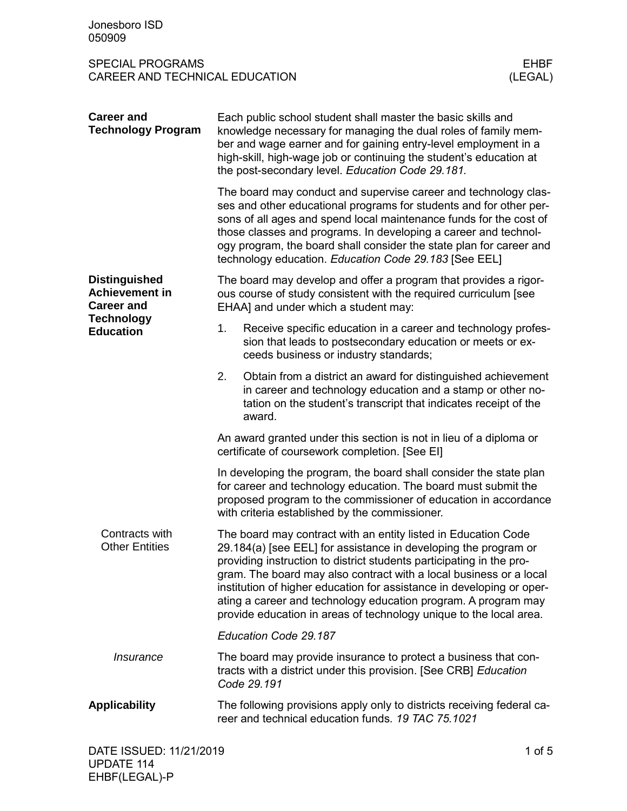SPECIAL PROGRAMS<br>CAREER AND TECHNICAL EDUCATION (LEGAL) CAREER AND TECHNICAL EDUCATION

| <b>Career and</b><br><b>Technology Program</b>                                                              | Each public school student shall master the basic skills and<br>knowledge necessary for managing the dual roles of family mem-<br>ber and wage earner and for gaining entry-level employment in a<br>high-skill, high-wage job or continuing the student's education at<br>the post-secondary level. Education Code 29.181.                                                                                                                                                                      |                                                                                                                                                                                                            |  |  |  |
|-------------------------------------------------------------------------------------------------------------|--------------------------------------------------------------------------------------------------------------------------------------------------------------------------------------------------------------------------------------------------------------------------------------------------------------------------------------------------------------------------------------------------------------------------------------------------------------------------------------------------|------------------------------------------------------------------------------------------------------------------------------------------------------------------------------------------------------------|--|--|--|
|                                                                                                             | The board may conduct and supervise career and technology clas-<br>ses and other educational programs for students and for other per-<br>sons of all ages and spend local maintenance funds for the cost of<br>those classes and programs. In developing a career and technol-<br>ogy program, the board shall consider the state plan for career and<br>technology education. Education Code 29.183 [See EEL]                                                                                   |                                                                                                                                                                                                            |  |  |  |
| <b>Distinguished</b><br><b>Achievement in</b><br><b>Career and</b><br><b>Technology</b><br><b>Education</b> | The board may develop and offer a program that provides a rigor-<br>ous course of study consistent with the required curriculum [see<br>EHAA] and under which a student may:                                                                                                                                                                                                                                                                                                                     |                                                                                                                                                                                                            |  |  |  |
|                                                                                                             | 1.                                                                                                                                                                                                                                                                                                                                                                                                                                                                                               | Receive specific education in a career and technology profes-<br>sion that leads to postsecondary education or meets or ex-<br>ceeds business or industry standards;                                       |  |  |  |
|                                                                                                             | 2.                                                                                                                                                                                                                                                                                                                                                                                                                                                                                               | Obtain from a district an award for distinguished achievement<br>in career and technology education and a stamp or other no-<br>tation on the student's transcript that indicates receipt of the<br>award. |  |  |  |
|                                                                                                             | An award granted under this section is not in lieu of a diploma or<br>certificate of coursework completion. [See EI]                                                                                                                                                                                                                                                                                                                                                                             |                                                                                                                                                                                                            |  |  |  |
|                                                                                                             | In developing the program, the board shall consider the state plan<br>for career and technology education. The board must submit the<br>proposed program to the commissioner of education in accordance<br>with criteria established by the commissioner.                                                                                                                                                                                                                                        |                                                                                                                                                                                                            |  |  |  |
| Contracts with<br><b>Other Entities</b>                                                                     | The board may contract with an entity listed in Education Code<br>29.184(a) [see EEL] for assistance in developing the program or<br>providing instruction to district students participating in the pro-<br>gram. The board may also contract with a local business or a local<br>institution of higher education for assistance in developing or oper-<br>ating a career and technology education program. A program may<br>provide education in areas of technology unique to the local area. |                                                                                                                                                                                                            |  |  |  |
|                                                                                                             | Education Code 29.187                                                                                                                                                                                                                                                                                                                                                                                                                                                                            |                                                                                                                                                                                                            |  |  |  |
| <i><b>Insurance</b></i>                                                                                     | The board may provide insurance to protect a business that con-<br>tracts with a district under this provision. [See CRB] Education<br>Code 29.191                                                                                                                                                                                                                                                                                                                                               |                                                                                                                                                                                                            |  |  |  |
| <b>Applicability</b>                                                                                        | The following provisions apply only to districts receiving federal ca-<br>reer and technical education funds. 19 TAC 75.1021                                                                                                                                                                                                                                                                                                                                                                     |                                                                                                                                                                                                            |  |  |  |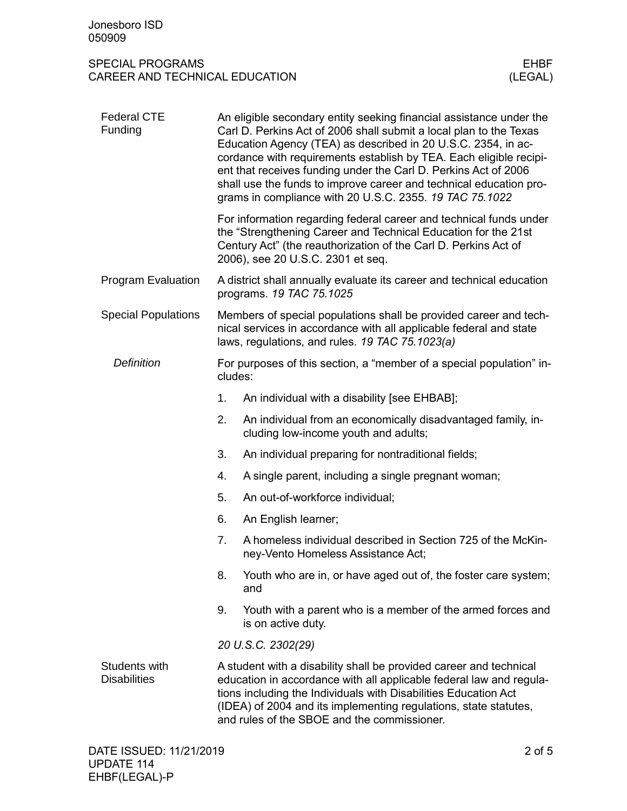## SPECIAL PROGRAMS EHBF CAREER AND TECHNICAL EDUCATION

| <b>Federal CTE</b><br>Funding        | An eligible secondary entity seeking financial assistance under the<br>Carl D. Perkins Act of 2006 shall submit a local plan to the Texas<br>Education Agency (TEA) as described in 20 U.S.C. 2354, in ac-<br>cordance with requirements establish by TEA. Each eligible recipi-<br>ent that receives funding under the Carl D. Perkins Act of 2006<br>shall use the funds to improve career and technical education pro-<br>grams in compliance with 20 U.S.C. 2355. 19 TAC 75.1022 |  |  |  |
|--------------------------------------|--------------------------------------------------------------------------------------------------------------------------------------------------------------------------------------------------------------------------------------------------------------------------------------------------------------------------------------------------------------------------------------------------------------------------------------------------------------------------------------|--|--|--|
|                                      | For information regarding federal career and technical funds under<br>the "Strengthening Career and Technical Education for the 21st<br>Century Act" (the reauthorization of the Carl D. Perkins Act of<br>2006), see 20 U.S.C. 2301 et seq.                                                                                                                                                                                                                                         |  |  |  |
| <b>Program Evaluation</b>            | A district shall annually evaluate its career and technical education<br>programs. 19 TAC 75.1025                                                                                                                                                                                                                                                                                                                                                                                    |  |  |  |
| <b>Special Populations</b>           | Members of special populations shall be provided career and tech-<br>nical services in accordance with all applicable federal and state<br>laws, regulations, and rules. 19 TAC 75.1023(a)                                                                                                                                                                                                                                                                                           |  |  |  |
| <b>Definition</b>                    | For purposes of this section, a "member of a special population" in-<br>cludes:                                                                                                                                                                                                                                                                                                                                                                                                      |  |  |  |
|                                      | 1.<br>An individual with a disability [see EHBAB];                                                                                                                                                                                                                                                                                                                                                                                                                                   |  |  |  |
|                                      | 2.<br>An individual from an economically disadvantaged family, in-<br>cluding low-income youth and adults;                                                                                                                                                                                                                                                                                                                                                                           |  |  |  |
|                                      | 3.<br>An individual preparing for nontraditional fields;                                                                                                                                                                                                                                                                                                                                                                                                                             |  |  |  |
|                                      | A single parent, including a single pregnant woman;<br>4.                                                                                                                                                                                                                                                                                                                                                                                                                            |  |  |  |
|                                      | 5.<br>An out-of-workforce individual;                                                                                                                                                                                                                                                                                                                                                                                                                                                |  |  |  |
|                                      | 6.<br>An English learner;                                                                                                                                                                                                                                                                                                                                                                                                                                                            |  |  |  |
|                                      | 7.<br>A homeless individual described in Section 725 of the McKin-<br>ney-Vento Homeless Assistance Act;                                                                                                                                                                                                                                                                                                                                                                             |  |  |  |
|                                      | Youth who are in, or have aged out of, the foster care system;<br>8.<br>and                                                                                                                                                                                                                                                                                                                                                                                                          |  |  |  |
|                                      | Youth with a parent who is a member of the armed forces and<br>9.<br>is on active duty.                                                                                                                                                                                                                                                                                                                                                                                              |  |  |  |
|                                      | 20 U.S.C. 2302(29)                                                                                                                                                                                                                                                                                                                                                                                                                                                                   |  |  |  |
| Students with<br><b>Disabilities</b> | A student with a disability shall be provided career and technical<br>education in accordance with all applicable federal law and regula-<br>tions including the Individuals with Disabilities Education Act<br>(IDEA) of 2004 and its implementing regulations, state statutes,<br>and rules of the SBOE and the commissioner.                                                                                                                                                      |  |  |  |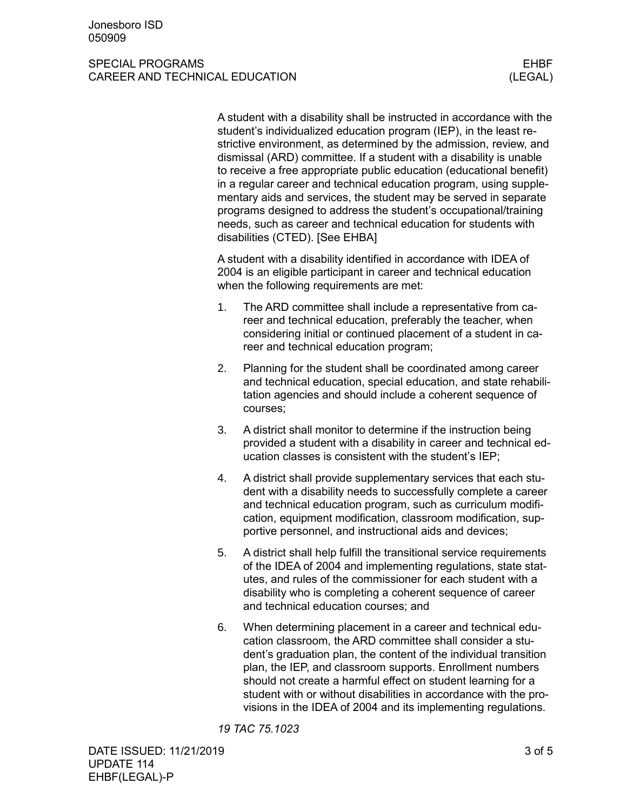## SPECIAL PROGRAMS AND RESERVE THE SERVE THAT IS A RESERVE THAT THE SERVE THAT THE SERVE THAT THE SERVE THAT THE CAREER AND TECHNICAL EDUCATION (LEGAL)

A student with a disability shall be instructed in accordance with the student's individualized education program (IEP), in the least restrictive environment, as determined by the admission, review, and dismissal (ARD) committee. If a student with a disability is unable to receive a free appropriate public education (educational benefit) in a regular career and technical education program, using supplementary aids and services, the student may be served in separate programs designed to address the student's occupational/training needs, such as career and technical education for students with disabilities (CTED). [See EHBA]

A student with a disability identified in accordance with IDEA of 2004 is an eligible participant in career and technical education when the following requirements are met:

- 1. The ARD committee shall include a representative from career and technical education, preferably the teacher, when considering initial or continued placement of a student in career and technical education program;
- 2. Planning for the student shall be coordinated among career and technical education, special education, and state rehabilitation agencies and should include a coherent sequence of courses;
- 3. A district shall monitor to determine if the instruction being provided a student with a disability in career and technical education classes is consistent with the student's IEP;
- 4. A district shall provide supplementary services that each student with a disability needs to successfully complete a career and technical education program, such as curriculum modification, equipment modification, classroom modification, supportive personnel, and instructional aids and devices;
- 5. A district shall help fulfill the transitional service requirements of the IDEA of 2004 and implementing regulations, state statutes, and rules of the commissioner for each student with a disability who is completing a coherent sequence of career and technical education courses; and
- 6. When determining placement in a career and technical education classroom, the ARD committee shall consider a student's graduation plan, the content of the individual transition plan, the IEP, and classroom supports. Enrollment numbers should not create a harmful effect on student learning for a student with or without disabilities in accordance with the provisions in the IDEA of 2004 and its implementing regulations.

*19 TAC 75.1023*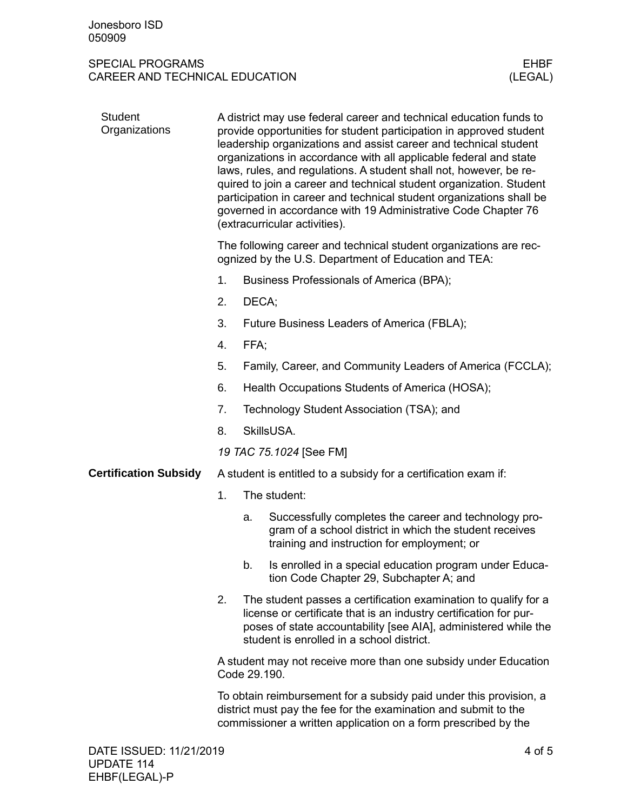## SPECIAL PROGRAMS<br>CAREER AND TECHNICAL EDUCATION (LEGAL) CAREER AND TECHNICAL EDUCATION

| <b>Student</b><br>Organizations | A district may use federal career and technical education funds to<br>provide opportunities for student participation in approved student<br>leadership organizations and assist career and technical student<br>organizations in accordance with all applicable federal and state<br>laws, rules, and regulations. A student shall not, however, be re-<br>quired to join a career and technical student organization. Student<br>participation in career and technical student organizations shall be<br>governed in accordance with 19 Administrative Code Chapter 76<br>(extracurricular activities). |                                                                                                                                                                                                         |                                                                                                                                                                                                                                                      |  |  |  |  |
|---------------------------------|-----------------------------------------------------------------------------------------------------------------------------------------------------------------------------------------------------------------------------------------------------------------------------------------------------------------------------------------------------------------------------------------------------------------------------------------------------------------------------------------------------------------------------------------------------------------------------------------------------------|---------------------------------------------------------------------------------------------------------------------------------------------------------------------------------------------------------|------------------------------------------------------------------------------------------------------------------------------------------------------------------------------------------------------------------------------------------------------|--|--|--|--|
|                                 | The following career and technical student organizations are rec-<br>ognized by the U.S. Department of Education and TEA:                                                                                                                                                                                                                                                                                                                                                                                                                                                                                 |                                                                                                                                                                                                         |                                                                                                                                                                                                                                                      |  |  |  |  |
|                                 | 1.                                                                                                                                                                                                                                                                                                                                                                                                                                                                                                                                                                                                        |                                                                                                                                                                                                         | Business Professionals of America (BPA);                                                                                                                                                                                                             |  |  |  |  |
|                                 | 2.                                                                                                                                                                                                                                                                                                                                                                                                                                                                                                                                                                                                        | DECA;                                                                                                                                                                                                   |                                                                                                                                                                                                                                                      |  |  |  |  |
|                                 | 3.                                                                                                                                                                                                                                                                                                                                                                                                                                                                                                                                                                                                        |                                                                                                                                                                                                         | Future Business Leaders of America (FBLA);                                                                                                                                                                                                           |  |  |  |  |
|                                 | 4.                                                                                                                                                                                                                                                                                                                                                                                                                                                                                                                                                                                                        | FFA;                                                                                                                                                                                                    |                                                                                                                                                                                                                                                      |  |  |  |  |
|                                 | 5.                                                                                                                                                                                                                                                                                                                                                                                                                                                                                                                                                                                                        | Family, Career, and Community Leaders of America (FCCLA);                                                                                                                                               |                                                                                                                                                                                                                                                      |  |  |  |  |
|                                 | 6.                                                                                                                                                                                                                                                                                                                                                                                                                                                                                                                                                                                                        | Health Occupations Students of America (HOSA);                                                                                                                                                          |                                                                                                                                                                                                                                                      |  |  |  |  |
|                                 | 7.                                                                                                                                                                                                                                                                                                                                                                                                                                                                                                                                                                                                        | Technology Student Association (TSA); and                                                                                                                                                               |                                                                                                                                                                                                                                                      |  |  |  |  |
|                                 | 8.                                                                                                                                                                                                                                                                                                                                                                                                                                                                                                                                                                                                        | SkillsUSA.                                                                                                                                                                                              |                                                                                                                                                                                                                                                      |  |  |  |  |
|                                 |                                                                                                                                                                                                                                                                                                                                                                                                                                                                                                                                                                                                           | 19 TAC 75.1024 [See FM]                                                                                                                                                                                 |                                                                                                                                                                                                                                                      |  |  |  |  |
| <b>Certification Subsidy</b>    | A student is entitled to a subsidy for a certification exam if:                                                                                                                                                                                                                                                                                                                                                                                                                                                                                                                                           |                                                                                                                                                                                                         |                                                                                                                                                                                                                                                      |  |  |  |  |
|                                 | 1.                                                                                                                                                                                                                                                                                                                                                                                                                                                                                                                                                                                                        | The student:                                                                                                                                                                                            |                                                                                                                                                                                                                                                      |  |  |  |  |
|                                 |                                                                                                                                                                                                                                                                                                                                                                                                                                                                                                                                                                                                           | a.                                                                                                                                                                                                      | Successfully completes the career and technology pro-<br>gram of a school district in which the student receives<br>training and instruction for employment; or                                                                                      |  |  |  |  |
|                                 |                                                                                                                                                                                                                                                                                                                                                                                                                                                                                                                                                                                                           | b.                                                                                                                                                                                                      | Is enrolled in a special education program under Educa-<br>tion Code Chapter 29, Subchapter A; and                                                                                                                                                   |  |  |  |  |
|                                 | 2.                                                                                                                                                                                                                                                                                                                                                                                                                                                                                                                                                                                                        |                                                                                                                                                                                                         | The student passes a certification examination to qualify for a<br>license or certificate that is an industry certification for pur-<br>poses of state accountability [see AIA], administered while the<br>student is enrolled in a school district. |  |  |  |  |
|                                 |                                                                                                                                                                                                                                                                                                                                                                                                                                                                                                                                                                                                           | A student may not receive more than one subsidy under Education<br>Code 29.190.                                                                                                                         |                                                                                                                                                                                                                                                      |  |  |  |  |
|                                 |                                                                                                                                                                                                                                                                                                                                                                                                                                                                                                                                                                                                           | To obtain reimbursement for a subsidy paid under this provision, a<br>district must pay the fee for the examination and submit to the<br>commissioner a written application on a form prescribed by the |                                                                                                                                                                                                                                                      |  |  |  |  |